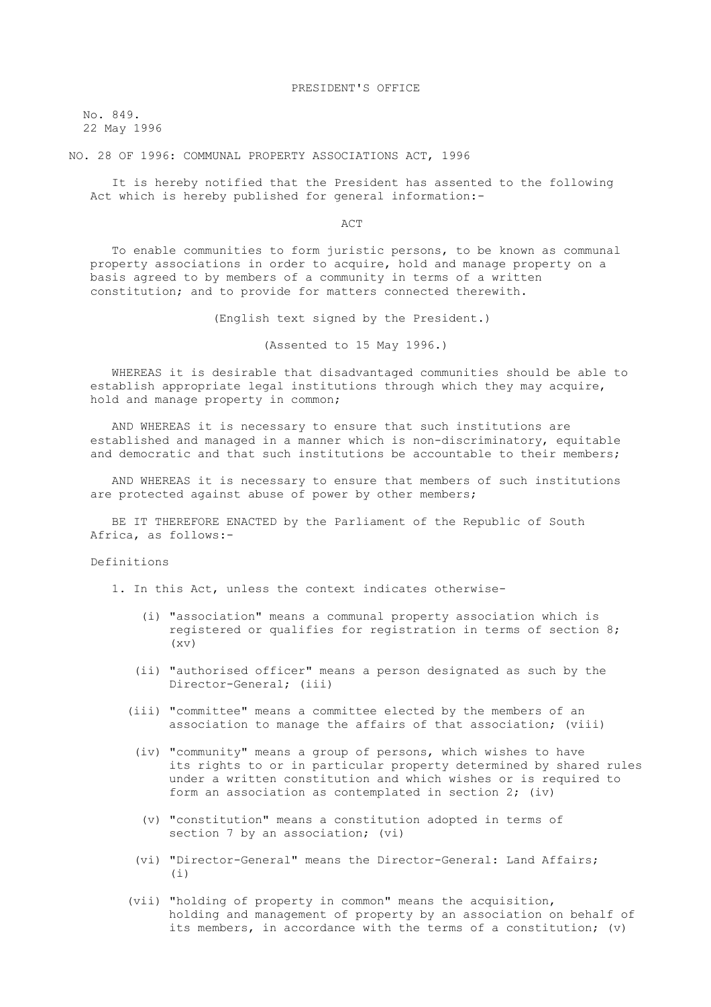No. 849. 22 May 1996

# NO. 28 OF 1996: COMMUNAL PROPERTY ASSOCIATIONS ACT, 1996

 It is hereby notified that the President has assented to the following Act which is hereby published for general information:-

ACT

 To enable communities to form juristic persons, to be known as communal property associations in order to acquire, hold and manage property on a basis agreed to by members of a community in terms of a written constitution; and to provide for matters connected therewith.

(English text signed by the President.)

(Assented to 15 May 1996.)

 WHEREAS it is desirable that disadvantaged communities should be able to establish appropriate legal institutions through which they may acquire, hold and manage property in common;

 AND WHEREAS it is necessary to ensure that such institutions are established and managed in a manner which is non-discriminatory, equitable and democratic and that such institutions be accountable to their members;

 AND WHEREAS it is necessary to ensure that members of such institutions are protected against abuse of power by other members;

 BE IT THEREFORE ENACTED by the Parliament of the Republic of South Africa, as follows:-

#### Definitions

1. In this Act, unless the context indicates otherwise-

- (i) "association" means a communal property association which is registered or qualifies for registration in terms of section 8; (xv)
- (ii) "authorised officer" means a person designated as such by the Director-General; (iii)
- (iii) "committee" means a committee elected by the members of an association to manage the affairs of that association; (viii)
- (iv) "community" means a group of persons, which wishes to have its rights to or in particular property determined by shared rules under a written constitution and which wishes or is required to form an association as contemplated in section 2; (iv)
- (v) "constitution" means a constitution adopted in terms of section 7 by an association; (vi)
- (vi) "Director-General" means the Director-General: Land Affairs;  $(i)$ 
	- (vii) "holding of property in common" means the acquisition, holding and management of property by an association on behalf of its members, in accordance with the terms of a constitution; (v)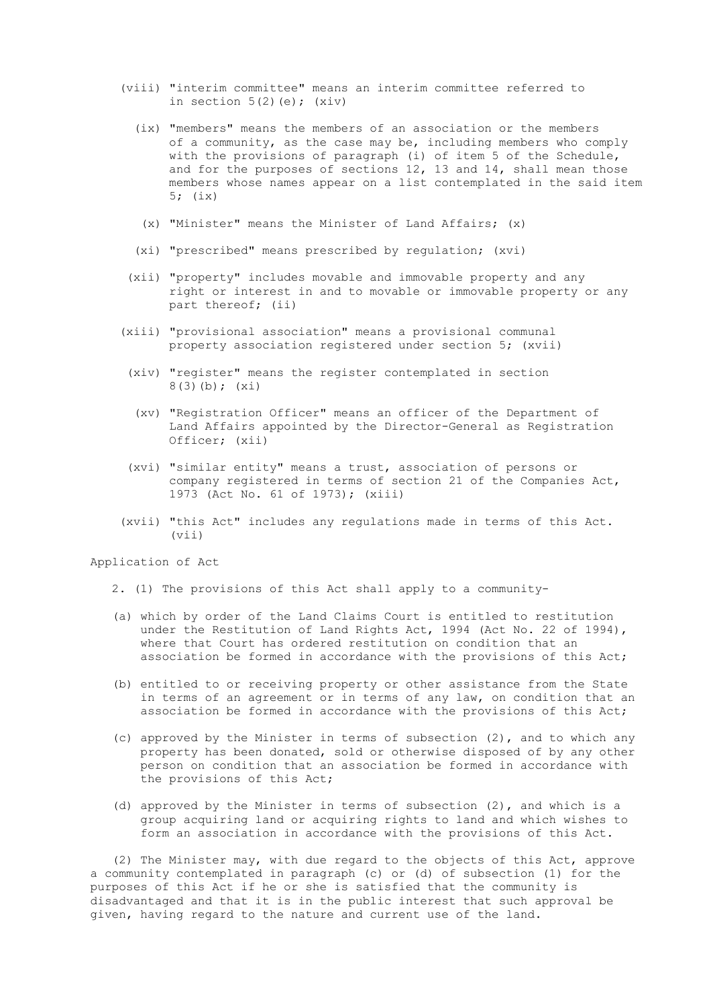- (viii) "interim committee" means an interim committee referred to in section  $5(2)(e)$ ; (xiv)
	- (ix) "members" means the members of an association or the members of a community, as the case may be, including members who comply with the provisions of paragraph (i) of item 5 of the Schedule, and for the purposes of sections 12, 13 and 14, shall mean those members whose names appear on a list contemplated in the said item 5; (ix)
	- (x) "Minister" means the Minister of Land Affairs; (x)
	- (xi) "prescribed" means prescribed by regulation; (xvi)
- (xii) "property" includes movable and immovable property and any right or interest in and to movable or immovable property or any part thereof; (ii)
- (xiii) "provisional association" means a provisional communal property association registered under section 5; (xvii)
- (xiv) "register" means the register contemplated in section 8(3)(b); (xi)
- (xv) "Registration Officer" means an officer of the Department of Land Affairs appointed by the Director-General as Registration Officer; (xii)
- (xvi) "similar entity" means a trust, association of persons or company registered in terms of section 21 of the Companies Act, 1973 (Act No. 61 of 1973); (xiii)
- (xvii) "this Act" includes any regulations made in terms of this Act. (vii)

Application of Act

- 2. (1) The provisions of this Act shall apply to a community-
- (a) which by order of the Land Claims Court is entitled to restitution under the Restitution of Land Rights Act, 1994 (Act No. 22 of 1994), where that Court has ordered restitution on condition that an association be formed in accordance with the provisions of this Act;
- (b) entitled to or receiving property or other assistance from the State in terms of an agreement or in terms of any law, on condition that an association be formed in accordance with the provisions of this Act;
- (c) approved by the Minister in terms of subsection  $(2)$ , and to which any property has been donated, sold or otherwise disposed of by any other person on condition that an association be formed in accordance with the provisions of this Act;
- (d) approved by the Minister in terms of subsection (2), and which is a group acquiring land or acquiring rights to land and which wishes to form an association in accordance with the provisions of this Act.

 (2) The Minister may, with due regard to the objects of this Act, approve a community contemplated in paragraph (c) or (d) of subsection (1) for the purposes of this Act if he or she is satisfied that the community is disadvantaged and that it is in the public interest that such approval be given, having regard to the nature and current use of the land.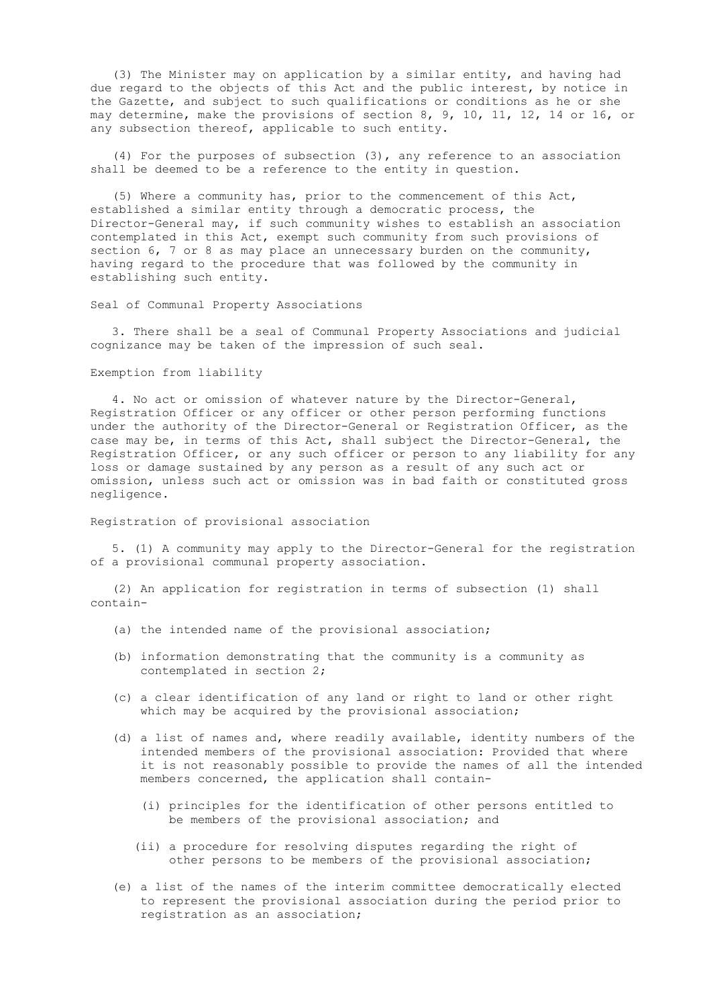(3) The Minister may on application by a similar entity, and having had due regard to the objects of this Act and the public interest, by notice in the Gazette, and subject to such qualifications or conditions as he or she may determine, make the provisions of section 8, 9, 10, 11, 12, 14 or 16, or any subsection thereof, applicable to such entity.

 (4) For the purposes of subsection (3), any reference to an association shall be deemed to be a reference to the entity in question.

 (5) Where a community has, prior to the commencement of this Act, established a similar entity through a democratic process, the Director-General may, if such community wishes to establish an association contemplated in this Act, exempt such community from such provisions of section 6, 7 or 8 as may place an unnecessary burden on the community, having regard to the procedure that was followed by the community in establishing such entity.

Seal of Communal Property Associations

 3. There shall be a seal of Communal Property Associations and judicial cognizance may be taken of the impression of such seal.

Exemption from liability

 4. No act or omission of whatever nature by the Director-General, Registration Officer or any officer or other person performing functions under the authority of the Director-General or Registration Officer, as the case may be, in terms of this Act, shall subject the Director-General, the Registration Officer, or any such officer or person to any liability for any loss or damage sustained by any person as a result of any such act or omission, unless such act or omission was in bad faith or constituted gross negligence.

Registration of provisional association

 5. (1) A community may apply to the Director-General for the registration of a provisional communal property association.

 (2) An application for registration in terms of subsection (1) shall contain-

- (a) the intended name of the provisional association;
- (b) information demonstrating that the community is a community as contemplated in section 2;
- (c) a clear identification of any land or right to land or other right which may be acquired by the provisional association;
- (d) a list of names and, where readily available, identity numbers of the intended members of the provisional association: Provided that where it is not reasonably possible to provide the names of all the intended members concerned, the application shall contain-
	- (i) principles for the identification of other persons entitled to be members of the provisional association; and
	- (ii) a procedure for resolving disputes regarding the right of other persons to be members of the provisional association;
- (e) a list of the names of the interim committee democratically elected to represent the provisional association during the period prior to registration as an association;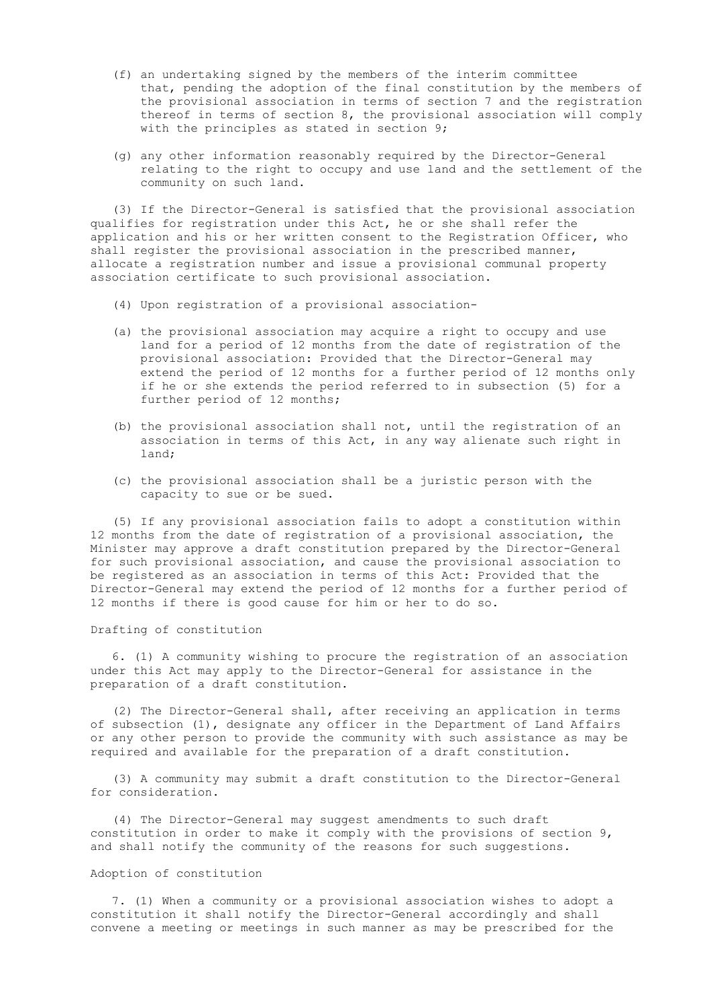- (f) an undertaking signed by the members of the interim committee that, pending the adoption of the final constitution by the members of the provisional association in terms of section 7 and the registration thereof in terms of section 8, the provisional association will comply with the principles as stated in section 9:
- (g) any other information reasonably required by the Director-General relating to the right to occupy and use land and the settlement of the community on such land.

 (3) If the Director-General is satisfied that the provisional association qualifies for registration under this Act, he or she shall refer the application and his or her written consent to the Registration Officer, who shall register the provisional association in the prescribed manner, allocate a registration number and issue a provisional communal property association certificate to such provisional association.

- (4) Upon registration of a provisional association-
- (a) the provisional association may acquire a right to occupy and use land for a period of 12 months from the date of registration of the provisional association: Provided that the Director-General may extend the period of 12 months for a further period of 12 months only if he or she extends the period referred to in subsection (5) for a further period of 12 months;
- (b) the provisional association shall not, until the registration of an association in terms of this Act, in any way alienate such right in land;
- (c) the provisional association shall be a juristic person with the capacity to sue or be sued.

 (5) If any provisional association fails to adopt a constitution within 12 months from the date of registration of a provisional association, the Minister may approve a draft constitution prepared by the Director-General for such provisional association, and cause the provisional association to be registered as an association in terms of this Act: Provided that the Director-General may extend the period of 12 months for a further period of 12 months if there is good cause for him or her to do so.

# Drafting of constitution

 6. (1) A community wishing to procure the registration of an association under this Act may apply to the Director-General for assistance in the preparation of a draft constitution.

 (2) The Director-General shall, after receiving an application in terms of subsection (1), designate any officer in the Department of Land Affairs or any other person to provide the community with such assistance as may be required and available for the preparation of a draft constitution.

 (3) A community may submit a draft constitution to the Director-General for consideration.

 (4) The Director-General may suggest amendments to such draft constitution in order to make it comply with the provisions of section 9, and shall notify the community of the reasons for such suggestions.

### Adoption of constitution

 7. (1) When a community or a provisional association wishes to adopt a constitution it shall notify the Director-General accordingly and shall convene a meeting or meetings in such manner as may be prescribed for the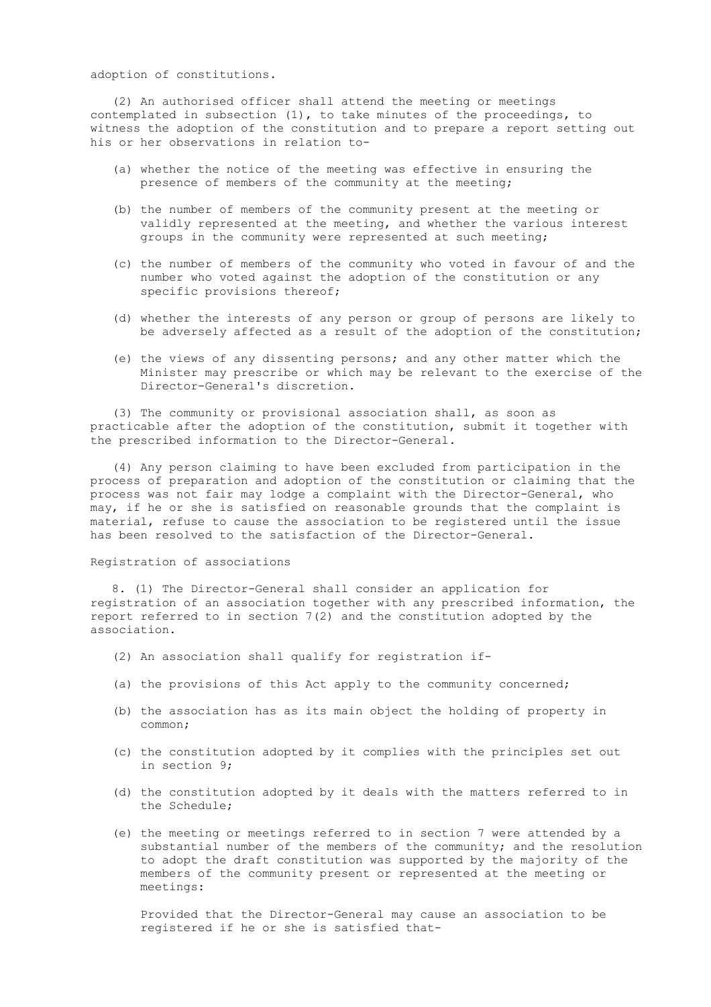adoption of constitutions.

 (2) An authorised officer shall attend the meeting or meetings contemplated in subsection (1), to take minutes of the proceedings, to witness the adoption of the constitution and to prepare a report setting out his or her observations in relation to-

- (a) whether the notice of the meeting was effective in ensuring the presence of members of the community at the meeting;
- (b) the number of members of the community present at the meeting or validly represented at the meeting, and whether the various interest groups in the community were represented at such meeting;
- (c) the number of members of the community who voted in favour of and the number who voted against the adoption of the constitution or any specific provisions thereof;
- (d) whether the interests of any person or group of persons are likely to be adversely affected as a result of the adoption of the constitution;
- (e) the views of any dissenting persons; and any other matter which the Minister may prescribe or which may be relevant to the exercise of the Director-General's discretion.

 (3) The community or provisional association shall, as soon as practicable after the adoption of the constitution, submit it together with the prescribed information to the Director-General.

 (4) Any person claiming to have been excluded from participation in the process of preparation and adoption of the constitution or claiming that the process was not fair may lodge a complaint with the Director-General, who may, if he or she is satisfied on reasonable grounds that the complaint is material, refuse to cause the association to be registered until the issue has been resolved to the satisfaction of the Director-General.

### Registration of associations

 8. (1) The Director-General shall consider an application for registration of an association together with any prescribed information, the report referred to in section 7(2) and the constitution adopted by the association.

- (2) An association shall qualify for registration if-
- (a) the provisions of this Act apply to the community concerned;
- (b) the association has as its main object the holding of property in common;
- (c) the constitution adopted by it complies with the principles set out in section 9;
- (d) the constitution adopted by it deals with the matters referred to in the Schedule;
- (e) the meeting or meetings referred to in section 7 were attended by a substantial number of the members of the community; and the resolution to adopt the draft constitution was supported by the majority of the members of the community present or represented at the meeting or meetings:

 Provided that the Director-General may cause an association to be registered if he or she is satisfied that-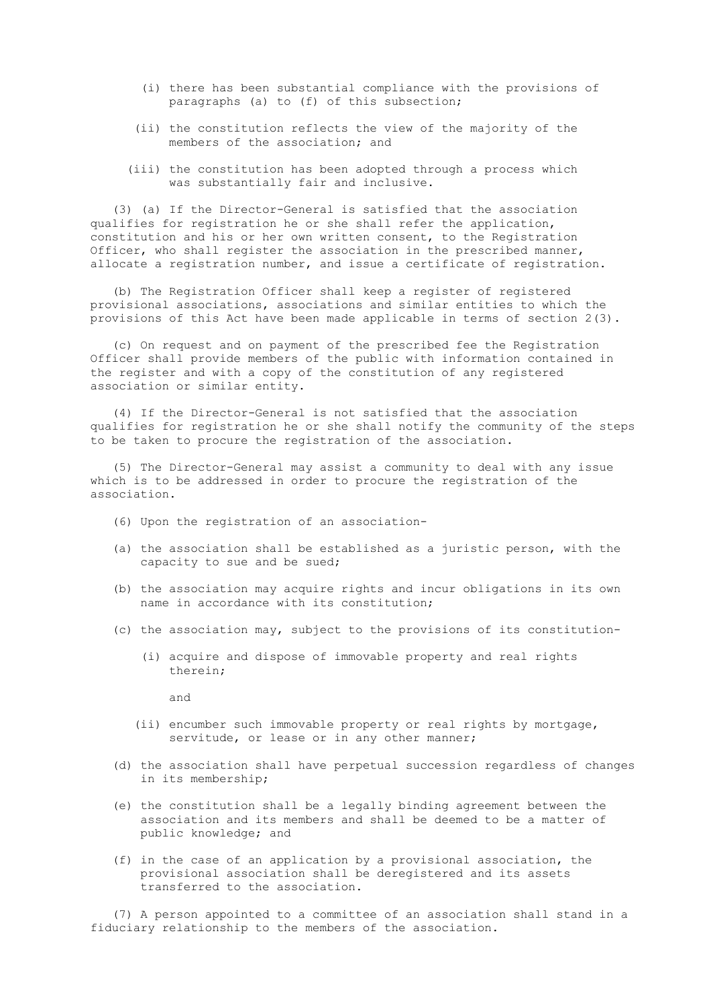- (i) there has been substantial compliance with the provisions of paragraphs (a) to (f) of this subsection;
- (ii) the constitution reflects the view of the majority of the members of the association; and
- (iii) the constitution has been adopted through a process which was substantially fair and inclusive.

 (3) (a) If the Director-General is satisfied that the association qualifies for registration he or she shall refer the application, constitution and his or her own written consent, to the Registration Officer, who shall register the association in the prescribed manner, allocate a registration number, and issue a certificate of registration.

 (b) The Registration Officer shall keep a register of registered provisional associations, associations and similar entities to which the provisions of this Act have been made applicable in terms of section 2(3).

 (c) On request and on payment of the prescribed fee the Registration Officer shall provide members of the public with information contained in the register and with a copy of the constitution of any registered association or similar entity.

 (4) If the Director-General is not satisfied that the association qualifies for registration he or she shall notify the community of the steps to be taken to procure the registration of the association.

 (5) The Director-General may assist a community to deal with any issue which is to be addressed in order to procure the registration of the association.

- (6) Upon the registration of an association-
- (a) the association shall be established as a juristic person, with the capacity to sue and be sued;
- (b) the association may acquire rights and incur obligations in its own name in accordance with its constitution;
- (c) the association may, subject to the provisions of its constitution-
	- (i) acquire and dispose of immovable property and real rights therein;

and

- (ii) encumber such immovable property or real rights by mortgage, servitude, or lease or in any other manner;
- (d) the association shall have perpetual succession regardless of changes in its membership;
- (e) the constitution shall be a legally binding agreement between the association and its members and shall be deemed to be a matter of public knowledge; and
- (f) in the case of an application by a provisional association, the provisional association shall be deregistered and its assets transferred to the association.

 (7) A person appointed to a committee of an association shall stand in a fiduciary relationship to the members of the association.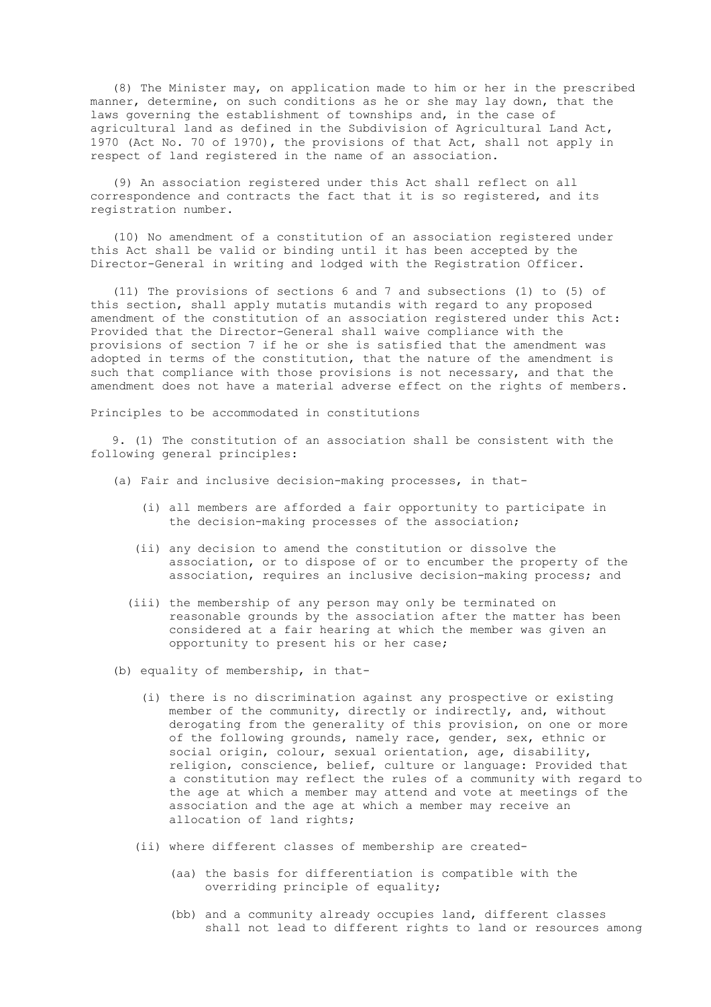(8) The Minister may, on application made to him or her in the prescribed manner, determine, on such conditions as he or she may lay down, that the laws governing the establishment of townships and, in the case of agricultural land as defined in the Subdivision of Agricultural Land Act, 1970 (Act No. 70 of 1970), the provisions of that Act, shall not apply in respect of land registered in the name of an association.

 (9) An association registered under this Act shall reflect on all correspondence and contracts the fact that it is so registered, and its registration number.

 (10) No amendment of a constitution of an association registered under this Act shall be valid or binding until it has been accepted by the Director-General in writing and lodged with the Registration Officer.

 (11) The provisions of sections 6 and 7 and subsections (1) to (5) of this section, shall apply mutatis mutandis with regard to any proposed amendment of the constitution of an association registered under this Act: Provided that the Director-General shall waive compliance with the provisions of section 7 if he or she is satisfied that the amendment was adopted in terms of the constitution, that the nature of the amendment is such that compliance with those provisions is not necessary, and that the amendment does not have a material adverse effect on the rights of members.

Principles to be accommodated in constitutions

 9. (1) The constitution of an association shall be consistent with the following general principles:

- (a) Fair and inclusive decision-making processes, in that-
	- (i) all members are afforded a fair opportunity to participate in the decision-making processes of the association;
	- (ii) any decision to amend the constitution or dissolve the association, or to dispose of or to encumber the property of the association, requires an inclusive decision-making process; and
	- (iii) the membership of any person may only be terminated on reasonable grounds by the association after the matter has been considered at a fair hearing at which the member was given an opportunity to present his or her case;
- (b) equality of membership, in that-
	- (i) there is no discrimination against any prospective or existing member of the community, directly or indirectly, and, without derogating from the generality of this provision, on one or more of the following grounds, namely race, gender, sex, ethnic or social origin, colour, sexual orientation, age, disability, religion, conscience, belief, culture or language: Provided that a constitution may reflect the rules of a community with regard to the age at which a member may attend and vote at meetings of the association and the age at which a member may receive an allocation of land rights;
	- (ii) where different classes of membership are created-
		- (aa) the basis for differentiation is compatible with the overriding principle of equality;
		- (bb) and a community already occupies land, different classes shall not lead to different rights to land or resources among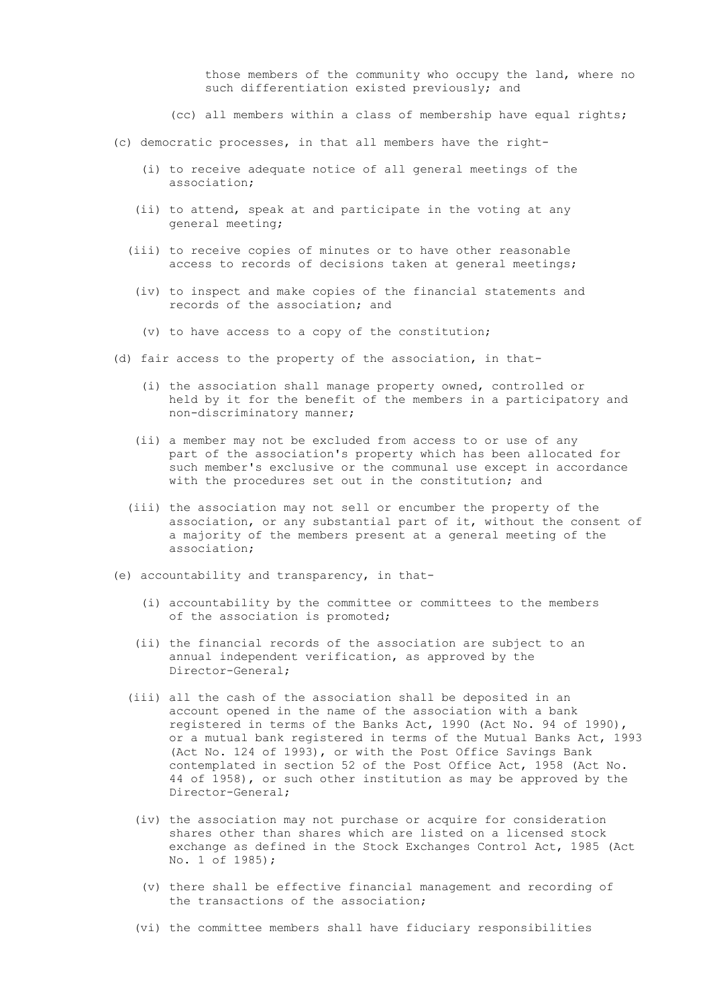those members of the community who occupy the land, where no such differentiation existed previously; and

- (cc) all members within a class of membership have equal rights;
- (c) democratic processes, in that all members have the right-
	- (i) to receive adequate notice of all general meetings of the association;
	- (ii) to attend, speak at and participate in the voting at any general meeting;
	- (iii) to receive copies of minutes or to have other reasonable access to records of decisions taken at general meetings;
		- (iv) to inspect and make copies of the financial statements and records of the association; and
		- (v) to have access to a copy of the constitution;
- (d) fair access to the property of the association, in that-
	- (i) the association shall manage property owned, controlled or held by it for the benefit of the members in a participatory and non-discriminatory manner;
	- (ii) a member may not be excluded from access to or use of any part of the association's property which has been allocated for such member's exclusive or the communal use except in accordance with the procedures set out in the constitution; and
	- (iii) the association may not sell or encumber the property of the association, or any substantial part of it, without the consent of a majority of the members present at a general meeting of the association;
- (e) accountability and transparency, in that-
	- (i) accountability by the committee or committees to the members of the association is promoted;
	- (ii) the financial records of the association are subject to an annual independent verification, as approved by the Director-General;
	- (iii) all the cash of the association shall be deposited in an account opened in the name of the association with a bank registered in terms of the Banks Act, 1990 (Act No. 94 of 1990), or a mutual bank registered in terms of the Mutual Banks Act, 1993 (Act No. 124 of 1993), or with the Post Office Savings Bank contemplated in section 52 of the Post Office Act, 1958 (Act No. 44 of 1958), or such other institution as may be approved by the Director-General;
	- (iv) the association may not purchase or acquire for consideration shares other than shares which are listed on a licensed stock exchange as defined in the Stock Exchanges Control Act, 1985 (Act No. 1 of 1985);
	- (v) there shall be effective financial management and recording of the transactions of the association;
	- (vi) the committee members shall have fiduciary responsibilities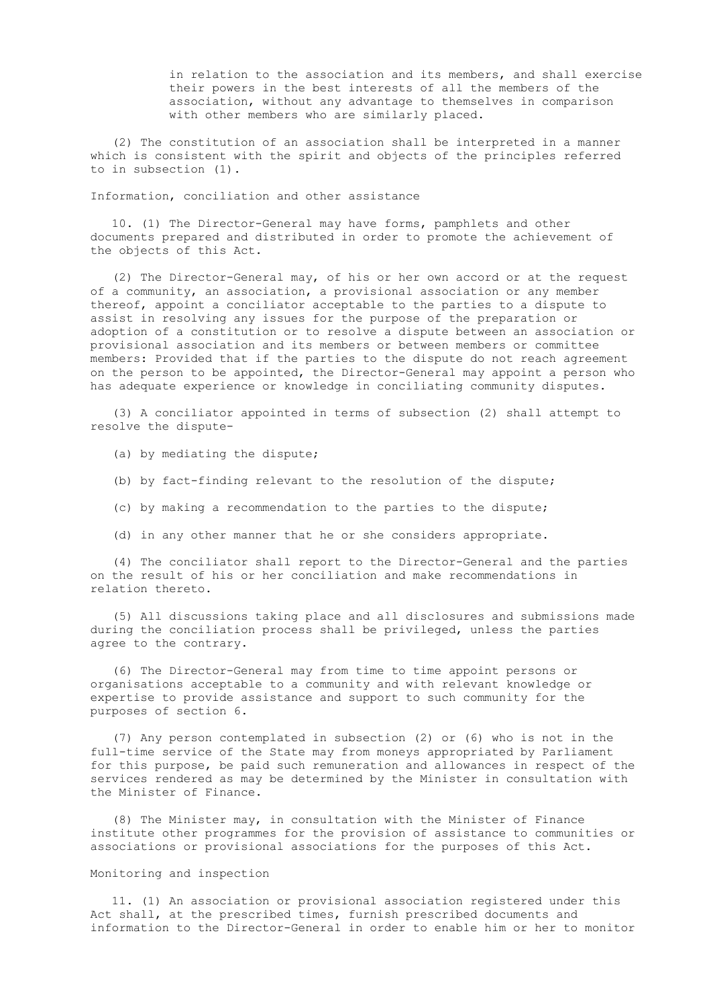in relation to the association and its members, and shall exercise their powers in the best interests of all the members of the association, without any advantage to themselves in comparison with other members who are similarly placed.

 (2) The constitution of an association shall be interpreted in a manner which is consistent with the spirit and objects of the principles referred to in subsection (1).

Information, conciliation and other assistance

 10. (1) The Director-General may have forms, pamphlets and other documents prepared and distributed in order to promote the achievement of the objects of this Act.

 (2) The Director-General may, of his or her own accord or at the request of a community, an association, a provisional association or any member thereof, appoint a conciliator acceptable to the parties to a dispute to assist in resolving any issues for the purpose of the preparation or adoption of a constitution or to resolve a dispute between an association or provisional association and its members or between members or committee members: Provided that if the parties to the dispute do not reach agreement on the person to be appointed, the Director-General may appoint a person who has adequate experience or knowledge in conciliating community disputes.

 (3) A conciliator appointed in terms of subsection (2) shall attempt to resolve the dispute-

- (a) by mediating the dispute;
- (b) by fact-finding relevant to the resolution of the dispute;
- (c) by making a recommendation to the parties to the dispute;
- (d) in any other manner that he or she considers appropriate.

 (4) The conciliator shall report to the Director-General and the parties on the result of his or her conciliation and make recommendations in relation thereto.

 (5) All discussions taking place and all disclosures and submissions made during the conciliation process shall be privileged, unless the parties agree to the contrary.

 (6) The Director-General may from time to time appoint persons or organisations acceptable to a community and with relevant knowledge or expertise to provide assistance and support to such community for the purposes of section 6.

 (7) Any person contemplated in subsection (2) or (6) who is not in the full-time service of the State may from moneys appropriated by Parliament for this purpose, be paid such remuneration and allowances in respect of the services rendered as may be determined by the Minister in consultation with the Minister of Finance.

 (8) The Minister may, in consultation with the Minister of Finance institute other programmes for the provision of assistance to communities or associations or provisional associations for the purposes of this Act.

# Monitoring and inspection

 11. (1) An association or provisional association registered under this Act shall, at the prescribed times, furnish prescribed documents and information to the Director-General in order to enable him or her to monitor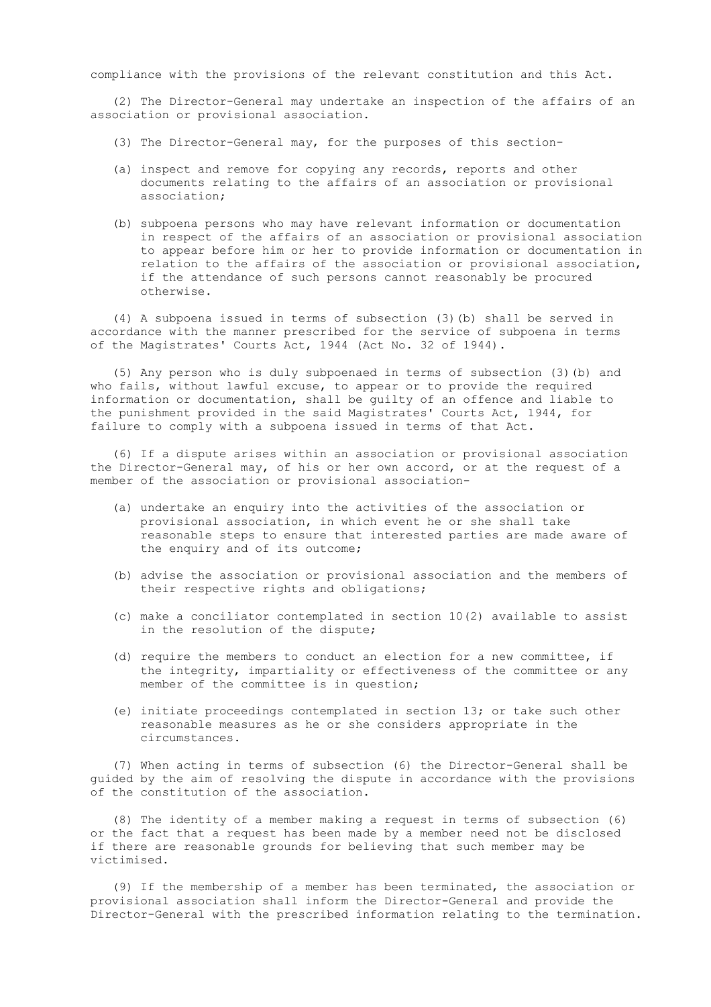compliance with the provisions of the relevant constitution and this Act.

 (2) The Director-General may undertake an inspection of the affairs of an association or provisional association.

- (3) The Director-General may, for the purposes of this section-
- (a) inspect and remove for copying any records, reports and other documents relating to the affairs of an association or provisional association;
- (b) subpoena persons who may have relevant information or documentation in respect of the affairs of an association or provisional association to appear before him or her to provide information or documentation in relation to the affairs of the association or provisional association, if the attendance of such persons cannot reasonably be procured otherwise.

 (4) A subpoena issued in terms of subsection (3)(b) shall be served in accordance with the manner prescribed for the service of subpoena in terms of the Magistrates' Courts Act, 1944 (Act No. 32 of 1944).

 (5) Any person who is duly subpoenaed in terms of subsection (3)(b) and who fails, without lawful excuse, to appear or to provide the required information or documentation, shall be guilty of an offence and liable to the punishment provided in the said Magistrates' Courts Act, 1944, for failure to comply with a subpoena issued in terms of that Act.

 (6) If a dispute arises within an association or provisional association the Director-General may, of his or her own accord, or at the request of a member of the association or provisional association-

- (a) undertake an enquiry into the activities of the association or provisional association, in which event he or she shall take reasonable steps to ensure that interested parties are made aware of the enquiry and of its outcome;
- (b) advise the association or provisional association and the members of their respective rights and obligations;
- (c) make a conciliator contemplated in section 10(2) available to assist in the resolution of the dispute;
- (d) require the members to conduct an election for a new committee, if the integrity, impartiality or effectiveness of the committee or any member of the committee is in question;
- (e) initiate proceedings contemplated in section 13; or take such other reasonable measures as he or she considers appropriate in the circumstances.

 (7) When acting in terms of subsection (6) the Director-General shall be guided by the aim of resolving the dispute in accordance with the provisions of the constitution of the association.

 (8) The identity of a member making a request in terms of subsection (6) or the fact that a request has been made by a member need not be disclosed if there are reasonable grounds for believing that such member may be victimised.

 (9) If the membership of a member has been terminated, the association or provisional association shall inform the Director-General and provide the Director-General with the prescribed information relating to the termination.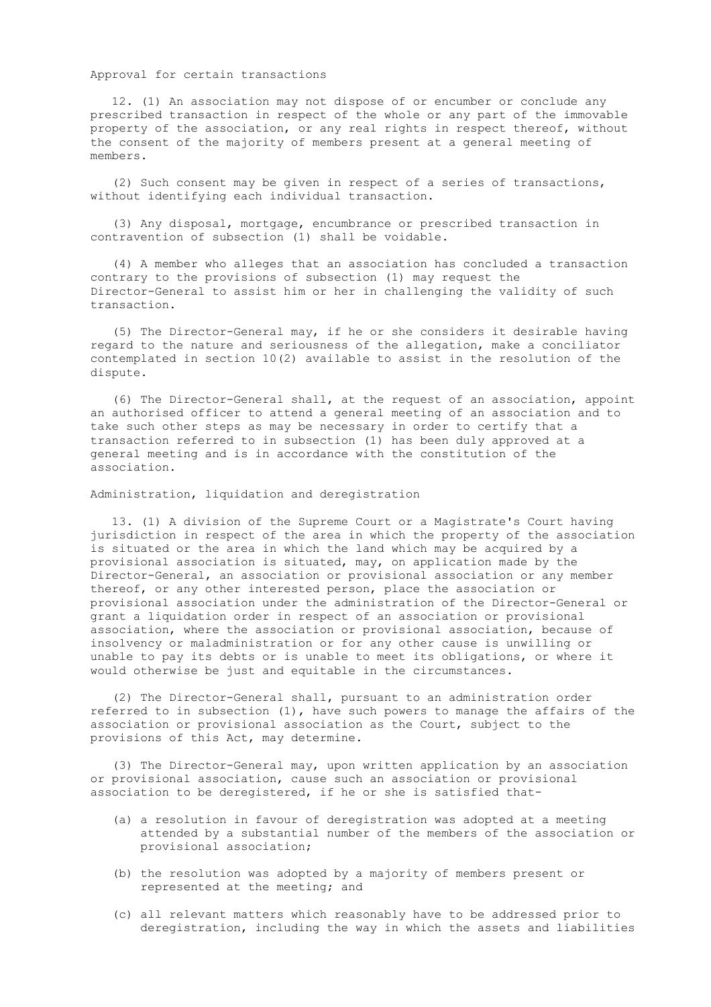Approval for certain transactions

 12. (1) An association may not dispose of or encumber or conclude any prescribed transaction in respect of the whole or any part of the immovable property of the association, or any real rights in respect thereof, without the consent of the majority of members present at a general meeting of members.

 (2) Such consent may be given in respect of a series of transactions, without identifying each individual transaction.

 (3) Any disposal, mortgage, encumbrance or prescribed transaction in contravention of subsection (1) shall be voidable.

 (4) A member who alleges that an association has concluded a transaction contrary to the provisions of subsection (1) may request the Director-General to assist him or her in challenging the validity of such transaction.

 (5) The Director-General may, if he or she considers it desirable having regard to the nature and seriousness of the allegation, make a conciliator contemplated in section 10(2) available to assist in the resolution of the dispute.

 (6) The Director-General shall, at the request of an association, appoint an authorised officer to attend a general meeting of an association and to take such other steps as may be necessary in order to certify that a transaction referred to in subsection (1) has been duly approved at a general meeting and is in accordance with the constitution of the association.

Administration, liquidation and deregistration

 13. (1) A division of the Supreme Court or a Magistrate's Court having jurisdiction in respect of the area in which the property of the association is situated or the area in which the land which may be acquired by a provisional association is situated, may, on application made by the Director-General, an association or provisional association or any member thereof, or any other interested person, place the association or provisional association under the administration of the Director-General or grant a liquidation order in respect of an association or provisional association, where the association or provisional association, because of insolvency or maladministration or for any other cause is unwilling or unable to pay its debts or is unable to meet its obligations, or where it would otherwise be just and equitable in the circumstances.

 (2) The Director-General shall, pursuant to an administration order referred to in subsection  $(1)$ , have such powers to manage the affairs of the association or provisional association as the Court, subject to the provisions of this Act, may determine.

 (3) The Director-General may, upon written application by an association or provisional association, cause such an association or provisional association to be deregistered, if he or she is satisfied that-

- (a) a resolution in favour of deregistration was adopted at a meeting attended by a substantial number of the members of the association or provisional association;
- (b) the resolution was adopted by a majority of members present or represented at the meeting; and
- (c) all relevant matters which reasonably have to be addressed prior to deregistration, including the way in which the assets and liabilities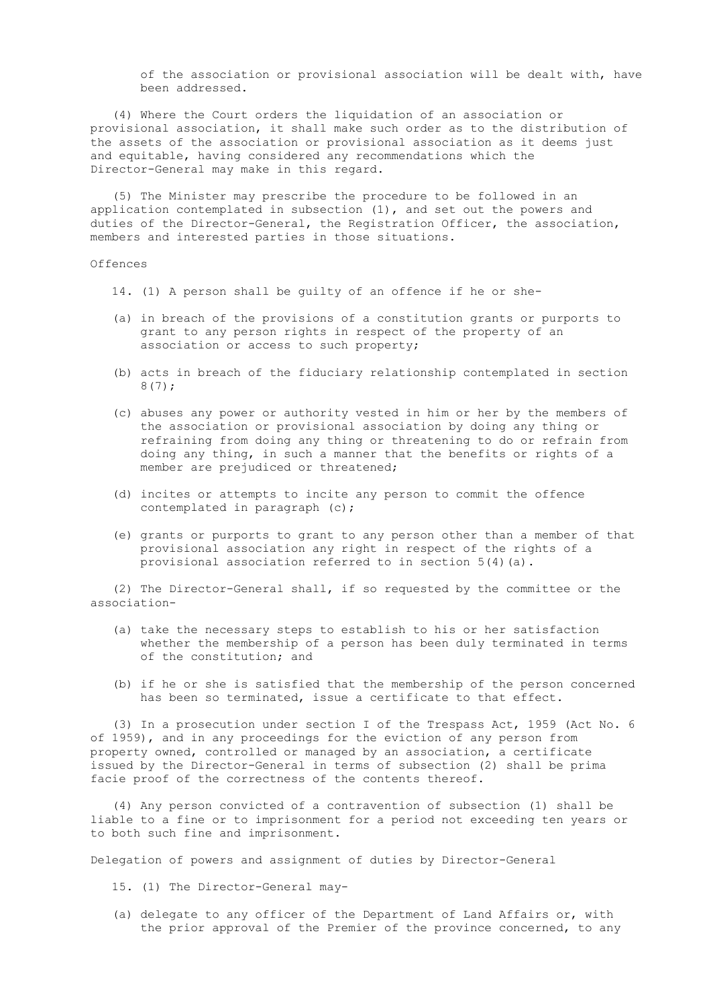of the association or provisional association will be dealt with, have been addressed.

 (4) Where the Court orders the liquidation of an association or provisional association, it shall make such order as to the distribution of the assets of the association or provisional association as it deems just and equitable, having considered any recommendations which the Director-General may make in this regard.

 (5) The Minister may prescribe the procedure to be followed in an application contemplated in subsection (1), and set out the powers and duties of the Director-General, the Registration Officer, the association, members and interested parties in those situations.

### Offences

- 14. (1) A person shall be guilty of an offence if he or she-
- (a) in breach of the provisions of a constitution grants or purports to grant to any person rights in respect of the property of an association or access to such property;
- (b) acts in breach of the fiduciary relationship contemplated in section 8(7);
- (c) abuses any power or authority vested in him or her by the members of the association or provisional association by doing any thing or refraining from doing any thing or threatening to do or refrain from doing any thing, in such a manner that the benefits or rights of a member are prejudiced or threatened;
- (d) incites or attempts to incite any person to commit the offence contemplated in paragraph (c);
- (e) grants or purports to grant to any person other than a member of that provisional association any right in respect of the rights of a provisional association referred to in section 5(4)(a).

 (2) The Director-General shall, if so requested by the committee or the association-

- (a) take the necessary steps to establish to his or her satisfaction whether the membership of a person has been duly terminated in terms of the constitution; and
- (b) if he or she is satisfied that the membership of the person concerned has been so terminated, issue a certificate to that effect.

 (3) In a prosecution under section I of the Trespass Act, 1959 (Act No. 6 of 1959), and in any proceedings for the eviction of any person from property owned, controlled or managed by an association, a certificate issued by the Director-General in terms of subsection (2) shall be prima facie proof of the correctness of the contents thereof.

 (4) Any person convicted of a contravention of subsection (1) shall be liable to a fine or to imprisonment for a period not exceeding ten years or to both such fine and imprisonment.

Delegation of powers and assignment of duties by Director-General

- 15. (1) The Director-General may-
- (a) delegate to any officer of the Department of Land Affairs or, with the prior approval of the Premier of the province concerned, to any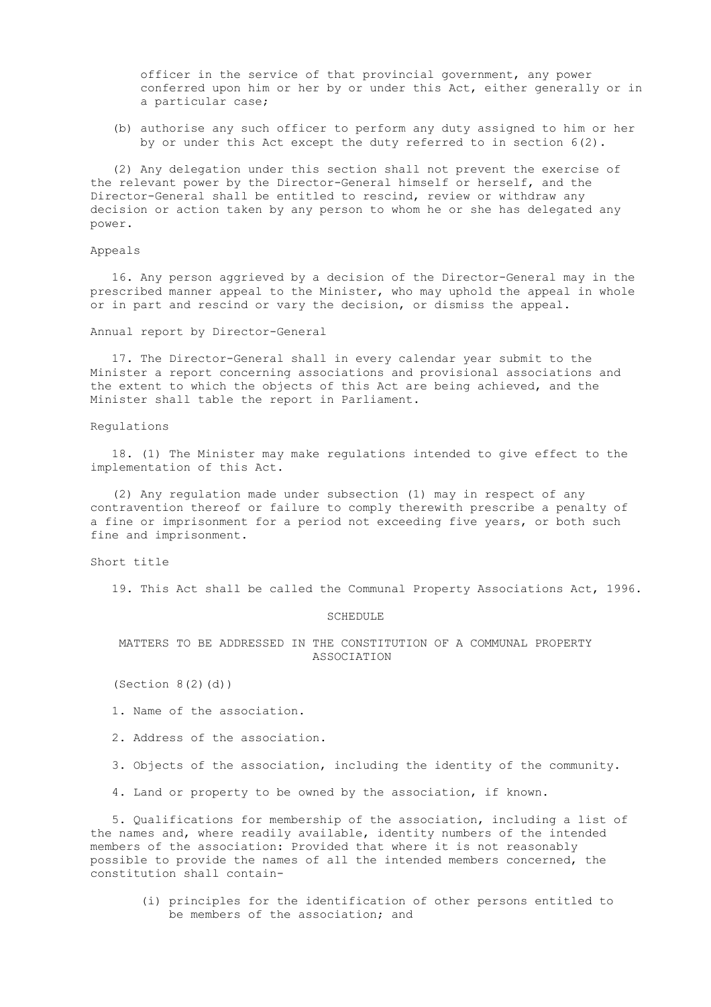officer in the service of that provincial government, any power conferred upon him or her by or under this Act, either generally or in a particular case;

 (b) authorise any such officer to perform any duty assigned to him or her by or under this Act except the duty referred to in section 6(2).

 (2) Any delegation under this section shall not prevent the exercise of the relevant power by the Director-General himself or herself, and the Director-General shall be entitled to rescind, review or withdraw any decision or action taken by any person to whom he or she has delegated any power.

# Appeals

 16. Any person aggrieved by a decision of the Director-General may in the prescribed manner appeal to the Minister, who may uphold the appeal in whole or in part and rescind or vary the decision, or dismiss the appeal.

Annual report by Director-General

 17. The Director-General shall in every calendar year submit to the Minister a report concerning associations and provisional associations and the extent to which the objects of this Act are being achieved, and the Minister shall table the report in Parliament.

# Regulations

 18. (1) The Minister may make regulations intended to give effect to the implementation of this Act.

 (2) Any regulation made under subsection (1) may in respect of any contravention thereof or failure to comply therewith prescribe a penalty of a fine or imprisonment for a period not exceeding five years, or both such fine and imprisonment.

### Short title

19. This Act shall be called the Communal Property Associations Act, 1996.

#### SCHEDULE

 MATTERS TO BE ADDRESSED IN THE CONSTITUTION OF A COMMUNAL PROPERTY ASSOCIATION

 $(Section 8(2)(d))$ 

- 1. Name of the association.
- 2. Address of the association.
- 3. Objects of the association, including the identity of the community.
- 4. Land or property to be owned by the association, if known.

 5. Qualifications for membership of the association, including a list of the names and, where readily available, identity numbers of the intended members of the association: Provided that where it is not reasonably possible to provide the names of all the intended members concerned, the constitution shall contain-

 (i) principles for the identification of other persons entitled to be members of the association; and